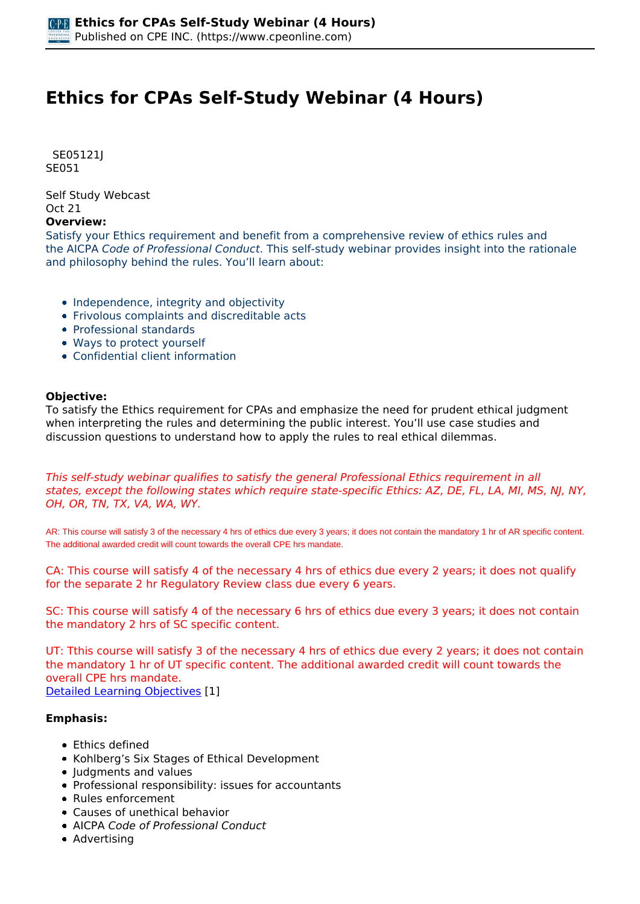# **Ethics for CPAs Self-Study Webinar (4 Hours)**

 *SE05121J SE051* 

*Self Study Webcast Oct 21* 

#### **Overview:**

*Satisfy your Ethics requirement and benefit from a comprehensive review of ethics rules and the AICPA Code of Professional Conduct. This self-study webinar provides insight into the rationale and philosophy behind the rules. You'll learn about:*

- *Independence, integrity and objectivity*
- *Frivolous complaints and discreditable acts*
- *Professional standards*
- *Ways to protect yourself*
- *Confidential client information*

#### **Objective:**

*To satisfy the Ethics requirement for CPAs and emphasize the need for prudent ethical judgment when interpreting the rules and determining the public interest. You'll use case studies and discussion questions to understand how to apply the rules to real ethical dilemmas.*

*This self-study webinar qualifies to satisfy the general Professional Ethics requirement in all states, except the following states which require state-specific Ethics: AZ, DE, FL, LA, MI, MS, NJ, NY, OH, OR, TN, TX, VA, WA, WY.*

AR: This course will satisfy 3 of the necessary 4 hrs of ethics due every 3 years; it does not contain the mandatory 1 hr of AR specific content. The additional awarded credit will count towards the overall CPE hrs mandate.

*CA: This course will satisfy 4 of the necessary 4 hrs of ethics due every 2 years; it does not qualify for the separate 2 hr Regulatory Review class due every 6 years.*

*SC: This course will satisfy 4 of the necessary 6 hrs of ethics due every 3 years; it does not contain the mandatory 2 hrs of SC specific content.*

*UT: Tthis course will satisfy 3 of the necessary 4 hrs of ethics due every 2 years; it does not contain the mandatory 1 hr of UT specific content. The additional awarded credit will count towards the overall CPE hrs mandate.*

*[Detailed Learning Objectives](https://www.cpeonline.com/JavaScript:showObjectivesPopup();) [1]*

#### **Emphasis:**

- *Ethics defined*
- *Kohlberg's Six Stages of Ethical Development*
- *Judgments and values*
- *Professional responsibility: issues for accountants*
- *Rules enforcement*
- *Causes of unethical behavior*
- *AICPA Code of Professional Conduct*
- *Advertising*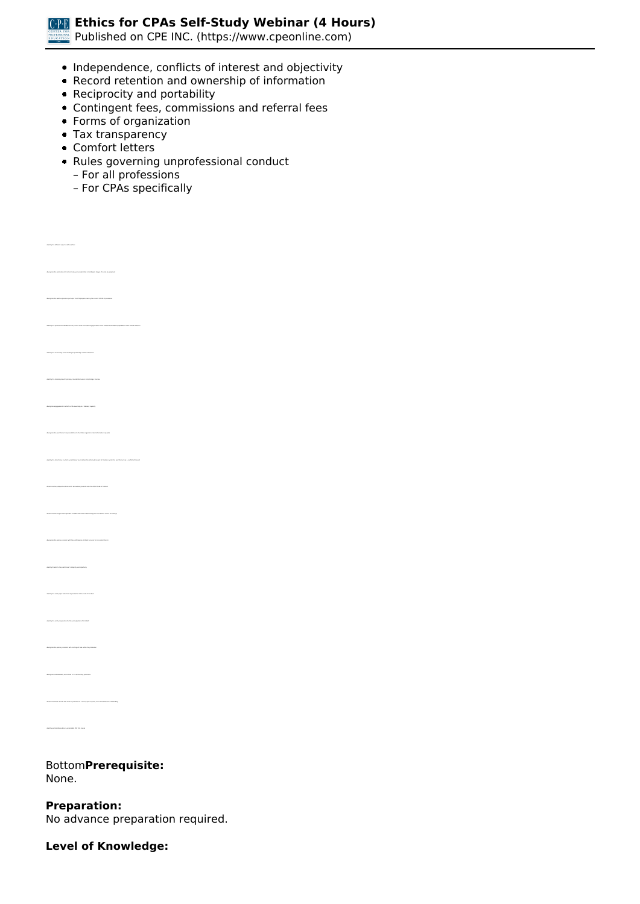**Ethics for CPAs Self-Study Webinar (4 Hours)**

*Published on CPE INC. (https://www.cpeonline.com)*

- *Independence, conflicts of interest and objectivity*
- *Record retention and ownership of information*
- *Reciprocity and portability*
- *Contingent fees, commissions and referral fees*
- *Forms of organization*
- *Tax transparency*
- *Comfort letters*
- *Rules governing unprofessional conduct*
	- *For all professions*
	- *For CPAs specifically*

*• Recognize the relative pressure put upon the CPA preparer during the current COVID-19 pandemic • Identify the accounting issues leading to potentially unethical behavior • Identify the licensing board's primary consideration when disciplining a licensee • Recognize engagements in which a CPA is working in a fiduciary capacity • Recognize the practitioner's responsibilities to the IRS in regards to client information requests • Determine the single most important consideration when determining the most ethical choice of action(s) • Identify the work paper retention requirements of the Code of Conduct • Recognize confidentiality restrictions in the accounting profession*

#### *Bottom***Prerequisite:**  *None.*

**Preparation:**  *No advance preparation required.*

**Level of Knowledge:**